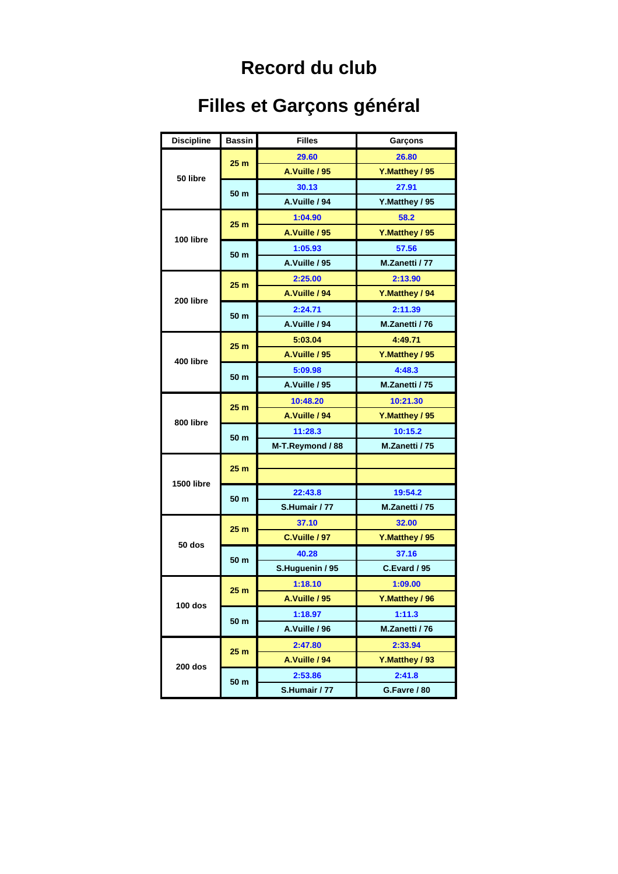## **Record du club**

## **Filles et Garçons général**

| <b>Discipline</b> | <b>Bassin</b>   | <b>Filles</b>    | Garçons        |
|-------------------|-----------------|------------------|----------------|
| 50 libre          | 25 <sub>m</sub> | 29.60            | 26.80          |
|                   |                 | A.Vuille / 95    | Y.Matthey / 95 |
|                   | 50 m            | 30.13            | 27.91          |
|                   |                 | A.Vuille / 94    | Y.Matthey / 95 |
| 100 libre         | 25 <sub>m</sub> | 1:04.90          | 58.2           |
|                   |                 | A.Vuille / 95    | Y.Matthey / 95 |
|                   | 50 m            | 1:05.93          | 57.56          |
|                   |                 | A.Vuille / 95    | M.Zanetti / 77 |
| 200 libre         | 25 <sub>m</sub> | 2:25.00          | 2:13.90        |
|                   |                 | A.Vuille / 94    | Y.Matthey / 94 |
|                   | 50 m            | 2:24.71          | 2:11.39        |
|                   |                 | A.Vuille / 94    | M.Zanetti / 76 |
| 400 libre         | 25 <sub>m</sub> | 5:03.04          | 4:49.71        |
|                   |                 | A.Vuille / 95    | Y.Matthey / 95 |
|                   | 50 m            | 5:09.98          | 4:48.3         |
|                   |                 | A.Vuille / 95    | M.Zanetti / 75 |
|                   | 25 <sub>m</sub> | 10:48.20         | 10:21.30       |
| 800 libre         |                 | A.Vuille / 94    | Y.Matthey / 95 |
|                   | 50 m            | 11:28.3          | 10:15.2        |
|                   |                 | M-T.Reymond / 88 | M.Zanetti / 75 |
|                   | 25 <sub>m</sub> |                  |                |
| 1500 libre        |                 |                  |                |
|                   | 50 <sub>m</sub> | 22:43.8          | 19:54.2        |
|                   |                 | S.Humair / 77    | M.Zanetti / 75 |
|                   | 25 <sub>m</sub> | 37.10            | 32.00          |
| 50 dos            |                 | C.Vuille / 97    | Y.Matthey / 95 |
|                   | 50 <sub>m</sub> | 40.28            | 37.16          |
|                   |                 | S.Huguenin / 95  | C.Evard / 95   |
|                   | 25 <sub>m</sub> | 1:18.10          | 1:09.00        |
| 100 dos           |                 | A.Vuille / 95    | Y.Matthey / 96 |
|                   | 50 <sub>m</sub> | 1:18.97          | 1:11.3         |
|                   |                 | A.Vuille / 96    | M.Zanetti / 76 |
| 200 dos           | 25 <sub>m</sub> | 2:47.80          | 2:33.94        |
|                   |                 | A.Vuille / 94    | Y.Matthey / 93 |
|                   | 50 m            | 2:53.86          | 2:41.8         |
|                   |                 | S.Humair / 77    | G.Favre / 80   |